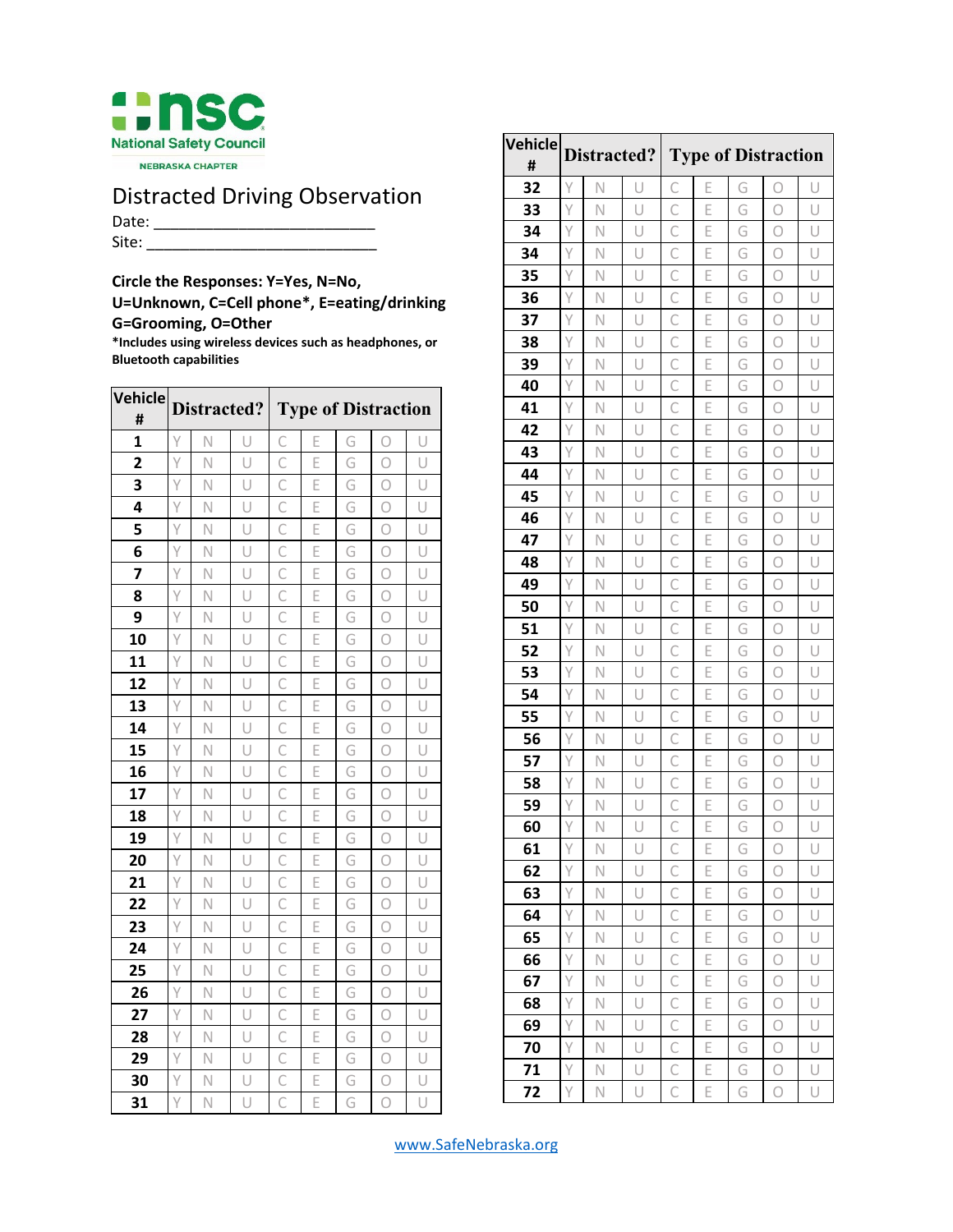

NEBRASKA CHAPTER

## Distracted Driving Observation

Date: \_\_\_\_\_\_\_\_\_\_\_\_\_\_\_\_\_\_\_\_\_\_\_\_\_\_ Site: \_\_\_\_\_\_\_\_\_\_\_\_\_\_\_\_\_\_\_\_\_\_\_\_\_\_\_

**Circle the Responses: Y=Yes, N=No,** 

**U=Unknown, C=Cell phone\*, E=eating/drinking G=Grooming, O=Other**

**\*Includes using wireless devices such as headphones, or Bluetooth capabilities**

| Vehicle<br>#   | Distracted? |   |   | <b>Type of Distraction</b> |   |   |            |   |  |
|----------------|-------------|---|---|----------------------------|---|---|------------|---|--|
| 1              | Ÿ           | N | U | C                          | Е | G | Ω          | U |  |
| $\overline{2}$ | Y           | Ν | Ū | C                          | Ē | G | Ο          | Ū |  |
| 3              | Ÿ           | Ν | U | $\overline{C}$             | E | G | Ο          | U |  |
| 4              | Υ           | Ν | U | C                          | Е | G | 0          | U |  |
| 5              | Y           | Ν | U | $\overline{C}$             | E | G | 0          | U |  |
| 6              | Y           | N | U | C                          | E | G | Ο          | U |  |
| 7              | Ÿ           | Ν | Ū | $\overline{C}$             | E | G | 0          | U |  |
| 8              | Ÿ           | N | Ū | $\mathsf{C}$               | E | G | Ο          | U |  |
| 9              | Y           | N | U | $\mathsf{C}$               | Ē | G | 0          | U |  |
| 10             | Y           | N | Ū | $\mathsf{C}$               | E | G | Ο          | U |  |
| 11             | Ý           | Ν | Ū | $\overline{C}$             | Ē | G | $\bigcirc$ | Ū |  |
| 12             | Ÿ           | N | U | $\overline{C}$             | Ē | G | 0          | U |  |
| 13             | Y           | Ν | Ū | C                          | Ē | G | 0          | U |  |
| 14             | Ÿ           | Ν | Ū | Ċ                          | Ē | G | 0          | U |  |
| 15             | Υ           | Ν | Ū | $\overline{C}$             | E | G | Ο          | U |  |
| 16             | Y           | Ν | U | $\overline{C}$             | E | G | 0          | U |  |
| 17             | Υ           | Ν | U | C                          | Е | G | Ο          | U |  |
| 18             | Y           | Ν | U | $\mathsf{C}$               | E | G | 0          | U |  |
| 19             | Ÿ           | N | U | $\overline{C}$             | E | G | Ο          | U |  |
| 20             | Y           | N | U | C                          | Ē | G | 0          | U |  |
| 21             | Y           | N | U | $\mathsf{C}$               | E | G | Ο          | U |  |
| 22             | Y           | N | Ū | $\overline{C}$             | Ē | G | О          | Ū |  |
| 23             | Ÿ           | N | U | $\mathsf{C}$               | Ē | G | Ο          | U |  |
| 24             | Y           | Ν | Ū | C                          | Ē | G | 0          | Ū |  |
| 25             | Ÿ           | Ν | U | $\overline{C}$             | E | G | 0          | U |  |
| 26             | Υ           | Ν | U | C                          | E | G | 0          | U |  |
| 27             | Y           | Ν | U | $\mathsf{C}$               | E | G | 0          | U |  |
| 28             | Y           | N | U | C                          | E | G | Ο          | U |  |
| 29             | Ÿ           | Ν | U | $\overline{C}$             | E | G | О          | U |  |
| 30             | Ÿ           | N | U | C                          | E | G | Ο          | U |  |
| 31             | Y           | N | U | C                          | Ē | G | 0          | U |  |

| Vehicle<br># | Distracted?  |                         |   | <b>Type of Distraction</b> |   |   |            |        |  |
|--------------|--------------|-------------------------|---|----------------------------|---|---|------------|--------|--|
| 32           | Y            | N                       | U | С                          | Е | G | Ω          | U      |  |
| 33           | Y            | N                       | U | $\mathsf{C}$               | Ē | G | 0          | U      |  |
| 34           | Y            | Ν                       | U | C                          | E | G | Ο          | U      |  |
| 34           | Υ            | N                       | U | C                          | E | G | О          | U      |  |
| 35           | Ÿ            | N                       | U | $\mathsf{C}$               | Ē | G | $\bigcirc$ | U      |  |
| 36           | Y            | N                       | U | C                          | E | G | O          | U      |  |
| 37           | Y            | N                       | U | C                          | E | G | О          | U      |  |
| 38           | Y            | N                       | U | C                          | E | G | Ο          | U      |  |
| 39           | Y            | Ν                       | U | C                          | E | G | Ο          | U      |  |
| 40           | Y            | N                       | U | C                          | E | G | Ο          | Ū      |  |
| 41           | Ÿ            | $\overline{\mathsf{N}}$ | Ū | $\overline{C}$             | E | G | 0          | U      |  |
| 42           | Y            | N                       | U | C                          | E | G | $\bigcirc$ | U      |  |
| 43           | Ÿ            | N                       | U | $\mathsf{C}$               | E | G | $\bigcirc$ | U      |  |
| 44           | Y            | Ν                       | U | C                          | E | G | Ο          | U      |  |
| 45           | Υ            | N                       | U | C                          | E | G | О          | U      |  |
| 46           | Υ            | Ν                       | U | $\mathsf{C}$               | E | G | $\bigcirc$ | Ū      |  |
| 47           | Ÿ            | N                       | U | C                          | E | G | О          | U      |  |
| 48           | Υ            | N                       | U | C                          | E | G | О          | U      |  |
| 49           | Y            | N                       | U | C                          | E | G | 0          | U      |  |
| 50           | Y            | Ν                       | U | C                          | E | G | О          | U      |  |
| 51           | Y            | N                       | U | C                          | E | G | Ο          | Ū      |  |
| 52           | Y            | N                       | Ū | $\overline{C}$             | E | G | Ο          | U      |  |
| 53           | Y            | N                       | U | C                          | Ē | G | $\bigcirc$ | U      |  |
| 54           | Ÿ            | N                       | U | $\mathsf{C}$               | E | G | $\bigcirc$ | U      |  |
| 55           | Ÿ            | Ν                       | U | C                          | E | G | 0          | U      |  |
| 56           | Υ            | N                       | U | C                          | E | G | О          | U      |  |
| 57           | Υ            | Ν                       | U | $\mathsf{C}$               | E | G | Ω          | Ū      |  |
| 58           | Y            | N                       | Ū | C                          | E | G | Ο          | U      |  |
| 59           | Y            | N                       | U | C                          | E | G | О          | U      |  |
| 60           | Y            | $\overline{\mathsf{N}}$ | U |                            | E | G | $\circ$    | $\cup$ |  |
| 61           | Y            | N                       | U | C                          | E | G | $\circ$    | U      |  |
| 62           | Y            | N                       | U | $\mathsf{C}$               | E | G | 0          | U      |  |
| 63           | Y            | $\overline{\mathsf{N}}$ | U | $\overline{C}$             | E | G | $\bigcirc$ | U      |  |
| 64           | Y            | Ν                       | U | C                          | E | G | О          | U      |  |
| 65           | Y            | Ν                       | U | $\mathsf{C}$               | E | G | О          | U      |  |
| 66           | $\mathsf{Y}$ | Ν                       | U | $\mathsf{C}$               | E | G | О          | U      |  |
| 67           | Y            | $\overline{\mathsf{N}}$ | U | C                          | E | G | О          | U      |  |
| 68           | Y            | N                       | U | $\mathsf{C}$               | E | G | $\bigcirc$ | Ū      |  |
| 69           | Y            | N                       | U | C                          | E | G | О          | U      |  |
| 70           | Υ            | Ν                       | U | C                          | E | G | Ο          | U      |  |
| 71           | Y            | Ν                       | U | $\mathsf{C}$               | E | G | О          | U      |  |
| 72           | Y            | Ν                       | U | C                          | Е | G | О          | U      |  |

<www.SafeNebraska.org>